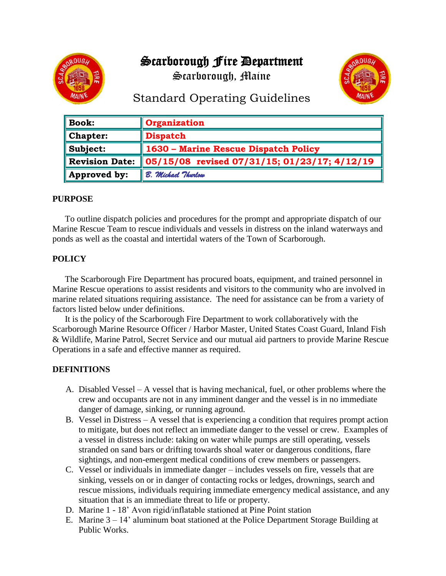# Scarborough Fire Department

Scarborough, Maine





# Standard Operating Guidelines

| $\parallel$ Book:       | Organization                                 |  |  |  |
|-------------------------|----------------------------------------------|--|--|--|
| $\blacksquare$ Chapter: | <b>Dispatch</b>                              |  |  |  |
| $\ $ Subject:           | 1630 – Marine Rescue Dispatch Policy         |  |  |  |
| Revision Date:          | 05/15/08 revised 07/31/15; 01/23/17; 4/12/19 |  |  |  |
| Approved by:            | B. Michael Thurlow                           |  |  |  |

# **PURPOSE**

To outline dispatch policies and procedures for the prompt and appropriate dispatch of our Marine Rescue Team to rescue individuals and vessels in distress on the inland waterways and ponds as well as the coastal and intertidal waters of the Town of Scarborough.

# **POLICY**

The Scarborough Fire Department has procured boats, equipment, and trained personnel in Marine Rescue operations to assist residents and visitors to the community who are involved in marine related situations requiring assistance. The need for assistance can be from a variety of factors listed below under definitions.

It is the policy of the Scarborough Fire Department to work collaboratively with the Scarborough Marine Resource Officer / Harbor Master, United States Coast Guard, Inland Fish & Wildlife, Marine Patrol, Secret Service and our mutual aid partners to provide Marine Rescue Operations in a safe and effective manner as required.

# **DEFINITIONS**

- A. Disabled Vessel A vessel that is having mechanical, fuel, or other problems where the crew and occupants are not in any imminent danger and the vessel is in no immediate danger of damage, sinking, or running aground.
- B. Vessel in Distress A vessel that is experiencing a condition that requires prompt action to mitigate, but does not reflect an immediate danger to the vessel or crew. Examples of a vessel in distress include: taking on water while pumps are still operating, vessels stranded on sand bars or drifting towards shoal water or dangerous conditions, flare sightings, and non-emergent medical conditions of crew members or passengers.
- C. Vessel or individuals in immediate danger includes vessels on fire, vessels that are sinking, vessels on or in danger of contacting rocks or ledges, drownings, search and rescue missions, individuals requiring immediate emergency medical assistance, and any situation that is an immediate threat to life or property.
- D. Marine 1 18' Avon rigid/inflatable stationed at Pine Point station
- E. Marine 3 14' aluminum boat stationed at the Police Department Storage Building at Public Works.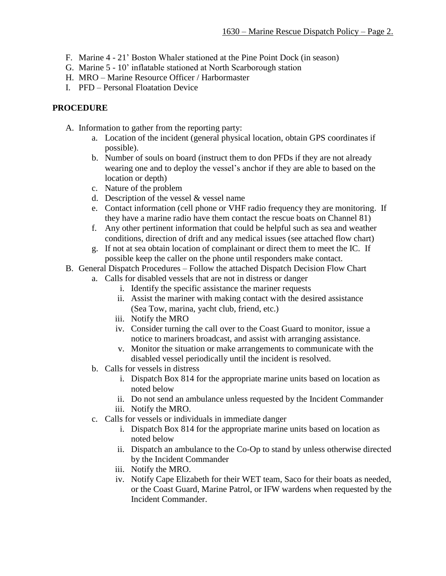- F. Marine 4 21' Boston Whaler stationed at the Pine Point Dock (in season)
- G. Marine 5 10' inflatable stationed at North Scarborough station
- H. MRO Marine Resource Officer / Harbormaster
- I. PFD Personal Floatation Device

#### **PROCEDURE**

- A. Information to gather from the reporting party:
	- a. Location of the incident (general physical location, obtain GPS coordinates if possible).
	- b. Number of souls on board (instruct them to don PFDs if they are not already wearing one and to deploy the vessel's anchor if they are able to based on the location or depth)
	- c. Nature of the problem
	- d. Description of the vessel & vessel name
	- e. Contact information (cell phone or VHF radio frequency they are monitoring. If they have a marine radio have them contact the rescue boats on Channel 81)
	- f. Any other pertinent information that could be helpful such as sea and weather conditions, direction of drift and any medical issues (see attached flow chart)
	- g. If not at sea obtain location of complainant or direct them to meet the IC. If possible keep the caller on the phone until responders make contact.
- B. General Dispatch Procedures Follow the attached Dispatch Decision Flow Chart
	- a. Calls for disabled vessels that are not in distress or danger
		- i. Identify the specific assistance the mariner requests
		- ii. Assist the mariner with making contact with the desired assistance (Sea Tow, marina, yacht club, friend, etc.)
		- iii. Notify the MRO
		- iv. Consider turning the call over to the Coast Guard to monitor, issue a notice to mariners broadcast, and assist with arranging assistance.
		- v. Monitor the situation or make arrangements to communicate with the disabled vessel periodically until the incident is resolved.
	- b. Calls for vessels in distress
		- i. Dispatch Box 814 for the appropriate marine units based on location as noted below
		- ii. Do not send an ambulance unless requested by the Incident Commander
		- iii. Notify the MRO.
	- c. Calls for vessels or individuals in immediate danger
		- i. Dispatch Box 814 for the appropriate marine units based on location as noted below
		- ii. Dispatch an ambulance to the Co-Op to stand by unless otherwise directed by the Incident Commander
		- iii. Notify the MRO.
		- iv. Notify Cape Elizabeth for their WET team, Saco for their boats as needed, or the Coast Guard, Marine Patrol, or IFW wardens when requested by the Incident Commander.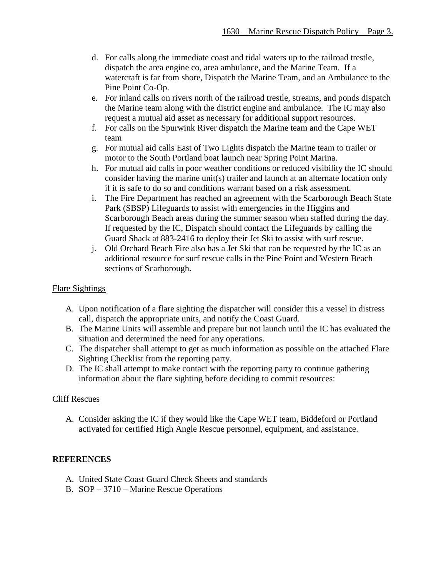- d. For calls along the immediate coast and tidal waters up to the railroad trestle, dispatch the area engine co, area ambulance, and the Marine Team. If a watercraft is far from shore, Dispatch the Marine Team, and an Ambulance to the Pine Point Co-Op.
- e. For inland calls on rivers north of the railroad trestle, streams, and ponds dispatch the Marine team along with the district engine and ambulance. The IC may also request a mutual aid asset as necessary for additional support resources.
- f. For calls on the Spurwink River dispatch the Marine team and the Cape WET team
- g. For mutual aid calls East of Two Lights dispatch the Marine team to trailer or motor to the South Portland boat launch near Spring Point Marina.
- h. For mutual aid calls in poor weather conditions or reduced visibility the IC should consider having the marine unit(s) trailer and launch at an alternate location only if it is safe to do so and conditions warrant based on a risk assessment.
- i. The Fire Department has reached an agreement with the Scarborough Beach State Park (SBSP) Lifeguards to assist with emergencies in the Higgins and Scarborough Beach areas during the summer season when staffed during the day. If requested by the IC, Dispatch should contact the Lifeguards by calling the Guard Shack at 883-2416 to deploy their Jet Ski to assist with surf rescue.
- j. Old Orchard Beach Fire also has a Jet Ski that can be requested by the IC as an additional resource for surf rescue calls in the Pine Point and Western Beach sections of Scarborough.

# Flare Sightings

- A. Upon notification of a flare sighting the dispatcher will consider this a vessel in distress call, dispatch the appropriate units, and notify the Coast Guard.
- B. The Marine Units will assemble and prepare but not launch until the IC has evaluated the situation and determined the need for any operations.
- C. The dispatcher shall attempt to get as much information as possible on the attached Flare Sighting Checklist from the reporting party.
- D. The IC shall attempt to make contact with the reporting party to continue gathering information about the flare sighting before deciding to commit resources:

# Cliff Rescues

A. Consider asking the IC if they would like the Cape WET team, Biddeford or Portland activated for certified High Angle Rescue personnel, equipment, and assistance.

# **REFERENCES**

- A. United State Coast Guard Check Sheets and standards
- B. SOP 3710 Marine Rescue Operations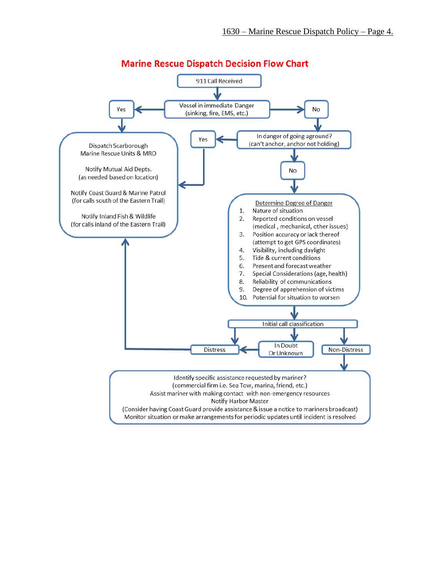

# **Marine Rescue Dispatch Decision Flow Chart**